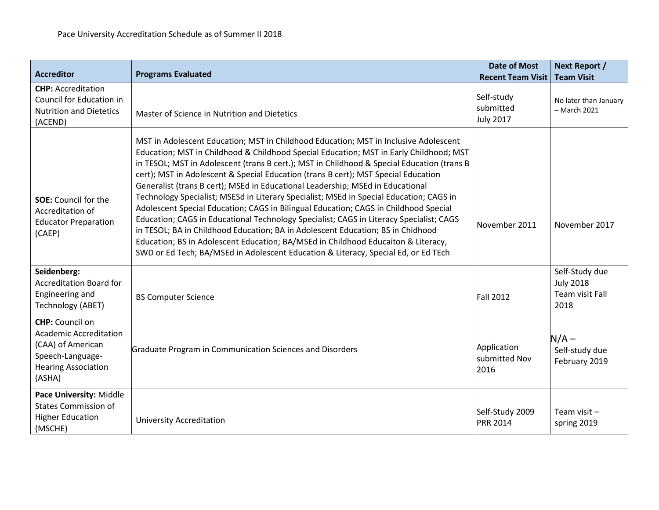| <b>Accreditor</b>                                                                                                                        | <b>Programs Evaluated</b>                                                                                                                                                                                                                                                                                                                                                                                                                                                                                                                                                                                                                                                                                                                                                                                                                                                                                                                                                                        | <b>Date of Most</b><br><b>Recent Team Visit</b> | Next Report /<br><b>Team Visit</b>                            |
|------------------------------------------------------------------------------------------------------------------------------------------|--------------------------------------------------------------------------------------------------------------------------------------------------------------------------------------------------------------------------------------------------------------------------------------------------------------------------------------------------------------------------------------------------------------------------------------------------------------------------------------------------------------------------------------------------------------------------------------------------------------------------------------------------------------------------------------------------------------------------------------------------------------------------------------------------------------------------------------------------------------------------------------------------------------------------------------------------------------------------------------------------|-------------------------------------------------|---------------------------------------------------------------|
| <b>CHP: Accreditation</b><br>Council for Education in<br><b>Nutrition and Dietetics</b><br>(ACEND)                                       | Master of Science in Nutrition and Dietetics                                                                                                                                                                                                                                                                                                                                                                                                                                                                                                                                                                                                                                                                                                                                                                                                                                                                                                                                                     | Self-study<br>submitted<br><b>July 2017</b>     | No later than January<br>- March 2021                         |
| <b>SOE:</b> Council for the<br>Accreditation of<br><b>Educator Preparation</b><br>(CAEP)                                                 | MST in Adolescent Education; MST in Childhood Education; MST in Inclusive Adolescent<br>Education; MST in Childhood & Childhood Special Education; MST in Early Childhood; MST<br>in TESOL; MST in Adolescent (trans B cert.); MST in Childhood & Special Education (trans B<br>cert); MST in Adolescent & Special Education (trans B cert); MST Special Education<br>Generalist (trans B cert); MSEd in Educational Leadership; MSEd in Educational<br>Technology Specialist; MSESd in Literary Specialist; MSEd in Special Education; CAGS in<br>Adolescent Special Education; CAGS in Bilingual Education; CAGS in Childhood Special<br>Education; CAGS in Educational Technology Specialist; CAGS in Literacy Specialist; CAGS<br>in TESOL; BA in Childhood Education; BA in Adolescent Education; BS in Chidhood<br>Education; BS in Adolescent Education; BA/MSEd in Childhood Educaiton & Literacy,<br>SWD or Ed Tech; BA/MSEd in Adolescent Education & Literacy, Special Ed, or Ed TEch | November 2011                                   | November 2017                                                 |
| Seidenberg:<br><b>Accreditation Board for</b><br>Engineering and<br>Technology (ABET)                                                    | <b>BS Computer Science</b>                                                                                                                                                                                                                                                                                                                                                                                                                                                                                                                                                                                                                                                                                                                                                                                                                                                                                                                                                                       | <b>Fall 2012</b>                                | Self-Study due<br><b>July 2018</b><br>Team visit Fall<br>2018 |
| <b>CHP:</b> Council on<br><b>Academic Accreditation</b><br>(CAA) of American<br>Speech-Language-<br><b>Hearing Association</b><br>(ASHA) | Graduate Program in Communication Sciences and Disorders                                                                                                                                                                                                                                                                                                                                                                                                                                                                                                                                                                                                                                                                                                                                                                                                                                                                                                                                         | Application<br>submitted Nov<br>2016            | $N/A -$<br>Self-study due<br>February 2019                    |
| Pace University: Middle<br><b>States Commission of</b><br><b>Higher Education</b><br>(MSCHE)                                             | <b>University Accreditation</b>                                                                                                                                                                                                                                                                                                                                                                                                                                                                                                                                                                                                                                                                                                                                                                                                                                                                                                                                                                  | Self-Study 2009<br><b>PRR 2014</b>              | Team visit $-$<br>spring 2019                                 |